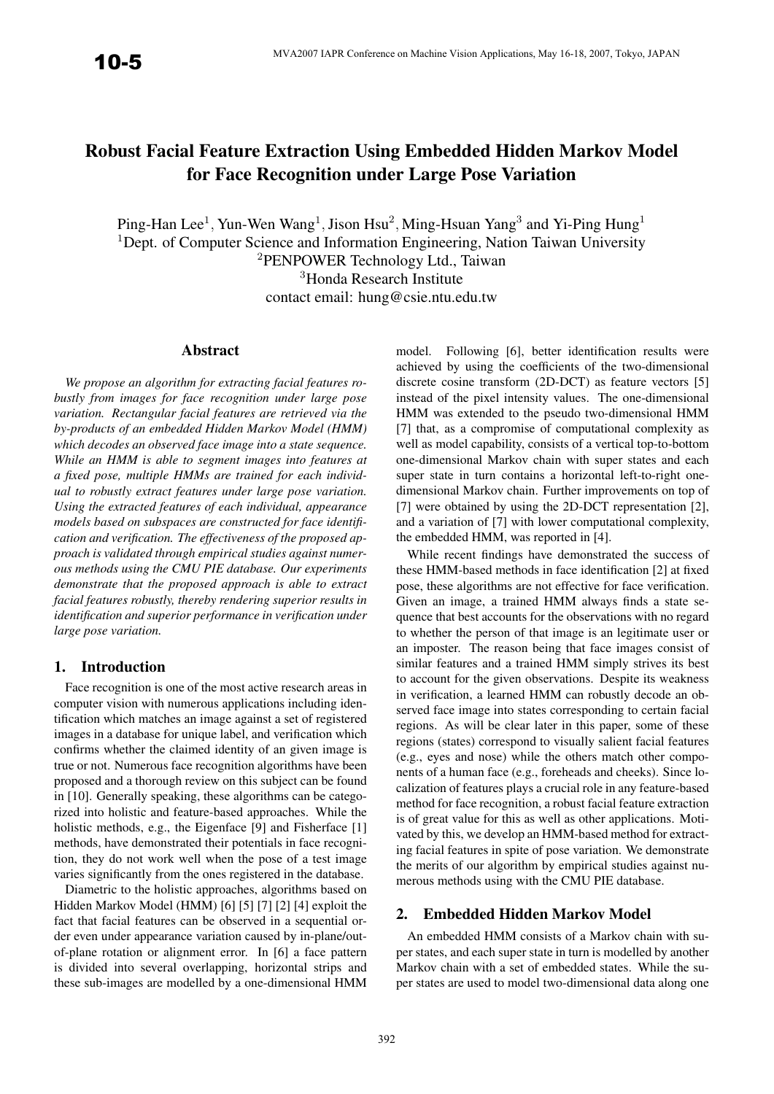# Robust Facial Feature Extraction Using Embedded Hidden Markov Model for Face Recognition under Large Pose Variation

Ping-Han Lee<sup>1</sup>, Yun-Wen Wang<sup>1</sup>, Jison Hsu<sup>2</sup>, Ming-Hsuan Yang<sup>3</sup> and Yi-Ping Hung<sup>1</sup> <sup>1</sup>Dept. of Computer Science and Information Engineering, Nation Taiwan University <sup>2</sup>PENPOWER Technology Ltd., Taiwan <sup>3</sup>Honda Research Institute contact email: hung@csie.ntu.edu.tw

## Abstract

*We propose an algorithm for extracting facial features robustly from images for face recognition under large pose variation. Rectangular facial features are retrieved via the by-products of an embedded Hidden Markov Model (HMM) which decodes an observed face image into a state sequence. While an HMM is able to segment images into features at a fixed pose, multiple HMMs are trained for each individual to robustly extract features under large pose variation. Using the extracted features of each individual, appearance models based on subspaces are constructed for face identification and verification. The effectiveness of the proposed approach is validated through empirical studies against numerous methods using the CMU PIE database. Our experiments demonstrate that the proposed approach is able to extract facial features robustly, thereby rendering superior results in identification and superior performance in verification under large pose variation.*

#### 1. Introduction

Face recognition is one of the most active research areas in computer vision with numerous applications including identification which matches an image against a set of registered images in a database for unique label, and verification which confirms whether the claimed identity of an given image is true or not. Numerous face recognition algorithms have been proposed and a thorough review on this subject can be found in [10]. Generally speaking, these algorithms can be categorized into holistic and feature-based approaches. While the holistic methods, e.g., the Eigenface [9] and Fisherface [1] methods, have demonstrated their potentials in face recognition, they do not work well when the pose of a test image varies significantly from the ones registered in the database.

Diametric to the holistic approaches, algorithms based on Hidden Markov Model (HMM) [6] [5] [7] [2] [4] exploit the fact that facial features can be observed in a sequential order even under appearance variation caused by in-plane/outof-plane rotation or alignment error. In [6] a face pattern is divided into several overlapping, horizontal strips and these sub-images are modelled by a one-dimensional HMM model. Following [6], better identification results were achieved by using the coefficients of the two-dimensional discrete cosine transform (2D-DCT) as feature vectors [5] instead of the pixel intensity values. The one-dimensional HMM was extended to the pseudo two-dimensional HMM [7] that, as a compromise of computational complexity as well as model capability, consists of a vertical top-to-bottom one-dimensional Markov chain with super states and each super state in turn contains a horizontal left-to-right onedimensional Markov chain. Further improvements on top of [7] were obtained by using the 2D-DCT representation [2], and a variation of [7] with lower computational complexity, the embedded HMM, was reported in [4].

While recent findings have demonstrated the success of these HMM-based methods in face identification [2] at fixed pose, these algorithms are not effective for face verification. Given an image, a trained HMM always finds a state sequence that best accounts for the observations with no regard to whether the person of that image is an legitimate user or an imposter. The reason being that face images consist of similar features and a trained HMM simply strives its best to account for the given observations. Despite its weakness in verification, a learned HMM can robustly decode an observed face image into states corresponding to certain facial regions. As will be clear later in this paper, some of these regions (states) correspond to visually salient facial features (e.g., eyes and nose) while the others match other components of a human face (e.g., foreheads and cheeks). Since localization of features plays a crucial role in any feature-based method for face recognition, a robust facial feature extraction is of great value for this as well as other applications. Motivated by this, we develop an HMM-based method for extracting facial features in spite of pose variation. We demonstrate the merits of our algorithm by empirical studies against numerous methods using with the CMU PIE database.

#### 2. Embedded Hidden Markov Model

An embedded HMM consists of a Markov chain with super states, and each super state in turn is modelled by another Markov chain with a set of embedded states. While the super states are used to model two-dimensional data along one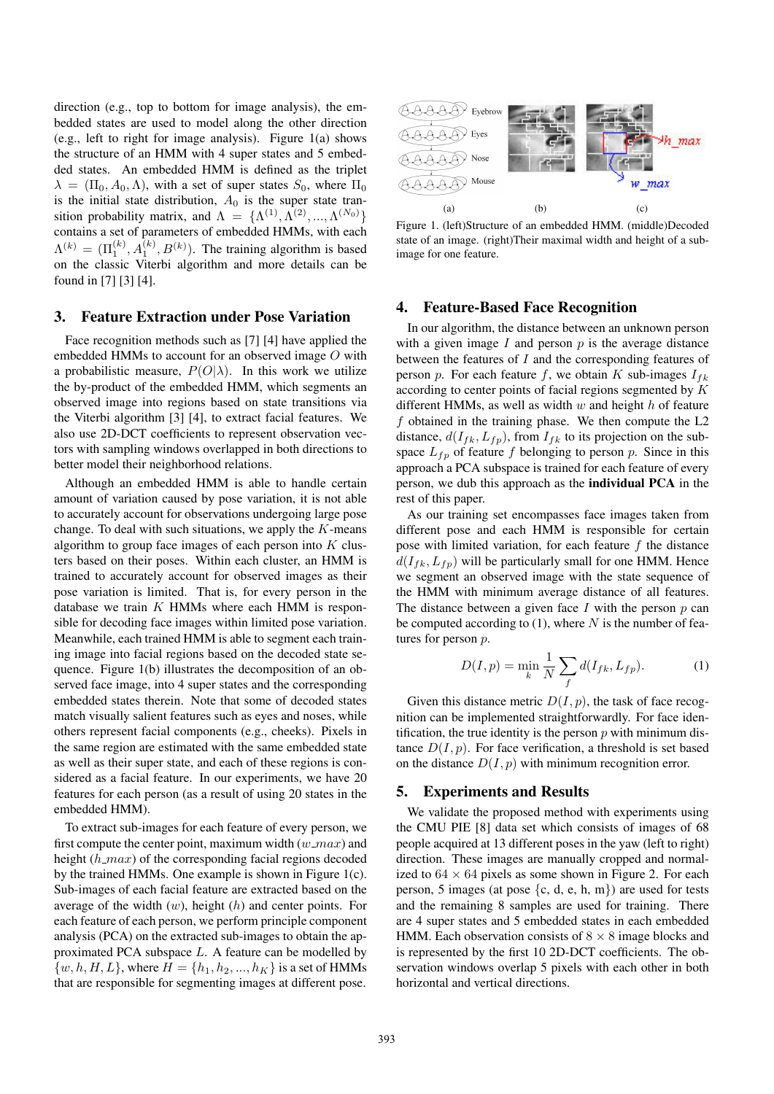direction (e.g., top to bottom for image analysis), the embedded states are used to model along the other direction (e.g., left to right for image analysis). Figure 1(a) shows the structure of an HMM with 4 super states and 5 embedded states. An embedded HMM is defined as the triplet  $\lambda = (\Pi_0, A_0, \Lambda)$ , with a set of super states  $S_0$ , where  $\Pi_0$ is the initial state distribution,  $A_0$  is the super state transition probability matrix, and  $\Lambda = {\Lambda^{(1)}, \Lambda^{(2)}, ..., \Lambda^{(N_0)}}$ contains a set of parameters of embedded HMMs, with each  $\Lambda^{(k)} = (\Pi_1^{(k)}, A_1^{(k)}, B^{(k)})$ . The training algorithm is based on the classic Viterbi algorithm and more details can be found in [7] [3] [4].

#### 3. Feature Extraction under Pose Variation

Face recognition methods such as [7] [4] have applied the embedded HMMs to account for an observed image O with a probabilistic measure,  $P(O|\lambda)$ . In this work we utilize the by-product of the embedded HMM, which segments an observed image into regions based on state transitions via the Viterbi algorithm [3] [4], to extract facial features. We also use 2D-DCT coefficients to represent observation vectors with sampling windows overlapped in both directions to better model their neighborhood relations.

Although an embedded HMM is able to handle certain amount of variation caused by pose variation, it is not able to accurately account for observations undergoing large pose change. To deal with such situations, we apply the  $K$ -means algorithm to group face images of each person into  $K$  clusters based on their poses. Within each cluster, an HMM is trained to accurately account for observed images as their pose variation is limited. That is, for every person in the database we train  $K$  HMMs where each HMM is responsible for decoding face images within limited pose variation. Meanwhile, each trained HMM is able to segment each training image into facial regions based on the decoded state sequence. Figure 1(b) illustrates the decomposition of an observed face image, into 4 super states and the corresponding embedded states therein. Note that some of decoded states match visually salient features such as eyes and noses, while others represent facial components (e.g., cheeks). Pixels in the same region are estimated with the same embedded state as well as their super state, and each of these regions is considered as a facial feature. In our experiments, we have 20 features for each person (as a result of using 20 states in the embedded HMM).

To extract sub-images for each feature of every person, we first compute the center point, maximum width  $(w_{max})$  and height  $(h_{\text{max}})$  of the corresponding facial regions decoded by the trained HMMs. One example is shown in Figure 1(c). Sub-images of each facial feature are extracted based on the average of the width  $(w)$ , height  $(h)$  and center points. For each feature of each person, we perform principle component analysis (PCA) on the extracted sub-images to obtain the approximated PCA subspace L. A feature can be modelled by  $\{w, h, H, L\}$ , where  $H = \{h_1, h_2, ..., h_K\}$  is a set of HMMs that are responsible for segmenting images at different pose.



Figure 1. (left)Structure of an embedded HMM. (middle)Decoded state of an image. (right)Their maximal width and height of a subimage for one feature.

## 4. Feature-Based Face Recognition

In our algorithm, the distance between an unknown person with a given image  $I$  and person  $p$  is the average distance between the features of I and the corresponding features of person p. For each feature f, we obtain K sub-images  $I_{fk}$ according to center points of facial regions segmented by K different HMMs, as well as width  $w$  and height  $h$  of feature  $f$  obtained in the training phase. We then compute the  $L2$ distance,  $d(I_{fk}, L_{fp})$ , from  $I_{fk}$  to its projection on the subspace  $L_{fp}$  of feature f belonging to person p. Since in this approach a PCA subspace is trained for each feature of every person, we dub this approach as the individual PCA in the rest of this paper.

As our training set encompasses face images taken from different pose and each HMM is responsible for certain pose with limited variation, for each feature  $f$  the distance  $d(I_{fk}, L_{fp})$  will be particularly small for one HMM. Hence we segment an observed image with the state sequence of the HMM with minimum average distance of all features. The distance between a given face  $I$  with the person  $p$  can be computed according to  $(1)$ , where N is the number of features for person p.

$$
D(I, p) = \min_{k} \frac{1}{N} \sum_{f} d(I_{fk}, L_{fp}).
$$
 (1)

Given this distance metric  $D(I, p)$ , the task of face recognition can be implemented straightforwardly. For face identification, the true identity is the person  $p$  with minimum distance  $D(I, p)$ . For face verification, a threshold is set based on the distance  $D(I, p)$  with minimum recognition error.

#### 5. Experiments and Results

We validate the proposed method with experiments using the CMU PIE [8] data set which consists of images of 68 people acquired at 13 different poses in the yaw (left to right) direction. These images are manually cropped and normalized to  $64 \times 64$  pixels as some shown in Figure 2. For each person, 5 images (at pose  $\{c, d, e, h, m\}$ ) are used for tests and the remaining 8 samples are used for training. There are 4 super states and 5 embedded states in each embedded HMM. Each observation consists of  $8 \times 8$  image blocks and is represented by the first 10 2D-DCT coefficients. The observation windows overlap 5 pixels with each other in both horizontal and vertical directions.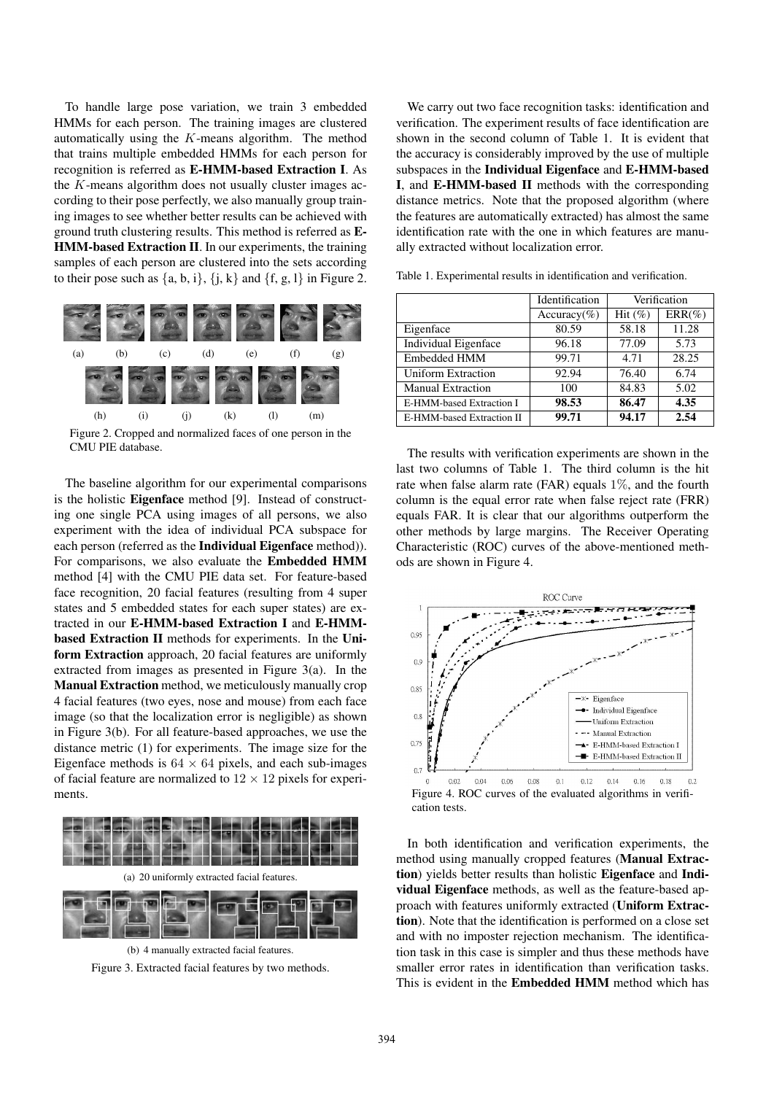To handle large pose variation, we train 3 embedded HMMs for each person. The training images are clustered automatically using the  $K$ -means algorithm. The method that trains multiple embedded HMMs for each person for recognition is referred as E-HMM-based Extraction I. As the  $K$ -means algorithm does not usually cluster images according to their pose perfectly, we also manually group training images to see whether better results can be achieved with ground truth clustering results. This method is referred as E-HMM-based Extraction II. In our experiments, the training samples of each person are clustered into the sets according to their pose such as  $\{a, b, i\}$ ,  $\{j, k\}$  and  $\{f, g, l\}$  in Figure 2.



Figure 2. Cropped and normalized faces of one person in the CMU PIE database.

The baseline algorithm for our experimental comparisons is the holistic Eigenface method [9]. Instead of constructing one single PCA using images of all persons, we also experiment with the idea of individual PCA subspace for each person (referred as the Individual Eigenface method)). For comparisons, we also evaluate the Embedded HMM method [4] with the CMU PIE data set. For feature-based face recognition, 20 facial features (resulting from 4 super states and 5 embedded states for each super states) are extracted in our E-HMM-based Extraction I and E-HMMbased Extraction II methods for experiments. In the Uniform Extraction approach, 20 facial features are uniformly extracted from images as presented in Figure 3(a). In the Manual Extraction method, we meticulously manually crop 4 facial features (two eyes, nose and mouse) from each face image (so that the localization error is negligible) as shown in Figure 3(b). For all feature-based approaches, we use the distance metric (1) for experiments. The image size for the Eigenface methods is  $64 \times 64$  pixels, and each sub-images of facial feature are normalized to  $12 \times 12$  pixels for experiments.



Figure 3. Extracted facial features by two methods.

We carry out two face recognition tasks: identification and verification. The experiment results of face identification are shown in the second column of Table 1. It is evident that the accuracy is considerably improved by the use of multiple subspaces in the Individual Eigenface and E-HMM-based I, and E-HMM-based II methods with the corresponding distance metrics. Note that the proposed algorithm (where the features are automatically extracted) has almost the same identification rate with the one in which features are manually extracted without localization error.

|                           | Identification | Verification |           |
|---------------------------|----------------|--------------|-----------|
|                           | $Accuracy(\%)$ | Hit $(\%)$   | $ERR(\%)$ |
| Eigenface                 | 80.59          | 58.18        | 11.28     |
| Individual Eigenface      | 96.18          | 77.09        | 5.73      |
| Embedded HMM              | 99.71          | 4.71         | 28.25     |
| Uniform Extraction        | 92.94          | 76.40        | 6.74      |
| <b>Manual Extraction</b>  | 100            | 84.83        | 5.02      |
| E-HMM-based Extraction I  | 98.53          | 86.47        | 4.35      |
| E-HMM-based Extraction II | 99.71          | 94.17        | 2.54      |

Table 1. Experimental results in identification and verification.

The results with verification experiments are shown in the last two columns of Table 1. The third column is the hit rate when false alarm rate (FAR) equals  $1\%$ , and the fourth column is the equal error rate when false reject rate (FRR) equals FAR. It is clear that our algorithms outperform the other methods by large margins. The Receiver Operating Characteristic (ROC) curves of the above-mentioned methods are shown in Figure 4.



In both identification and verification experiments, the method using manually cropped features (Manual Extraction) yields better results than holistic Eigenface and Individual Eigenface methods, as well as the feature-based approach with features uniformly extracted (Uniform Extraction). Note that the identification is performed on a close set and with no imposter rejection mechanism. The identification task in this case is simpler and thus these methods have smaller error rates in identification than verification tasks. This is evident in the Embedded HMM method which has